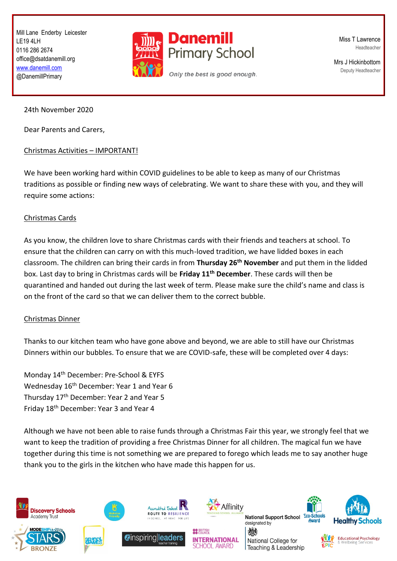Mill Lane Enderby Leicester LE19 4LH 0116 286 2674 office@dsatdanemill.org [www.danemill.com](http://www.danemill.com/) @DanemillPrimary



Miss T Lawrence Headteacher

Mrs J Hickinbottom Deputy Headteacher

24th November 2020

Dear Parents and Carers,

## Christmas Activities – IMPORTANT!

We have been working hard within COVID guidelines to be able to keep as many of our Christmas traditions as possible or finding new ways of celebrating. We want to share these with you, and they will require some actions:

## Christmas Cards

As you know, the children love to share Christmas cards with their friends and teachers at school. To ensure that the children can carry on with this much-loved tradition, we have lidded boxes in each classroom. The children can bring their cards in from **Thursday 26th November** and put them in the lidded box. Last day to bring in Christmas cards will be **Friday 11th December**. These cards will then be quarantined and handed out during the last week of term. Please make sure the child's name and class is on the front of the card so that we can deliver them to the correct bubble.

## Christmas Dinner

Thanks to our kitchen team who have gone above and beyond, we are able to still have our Christmas Dinners within our bubbles. To ensure that we are COVID-safe, these will be completed over 4 days:

Monday 14th December: Pre-School & EYFS Wednesday 16th December: Year 1 and Year 6 Thursday 17th December: Year 2 and Year 5 Friday 18th December: Year 3 and Year 4

Although we have not been able to raise funds through a Christmas Fair this year, we strongly feel that we want to keep the tradition of providing a free Christmas Dinner for all children. The magical fun we have together during this time is not something we are prepared to forego which leads me to say another huge thank you to the girls in the kitchen who have made this happen for us.